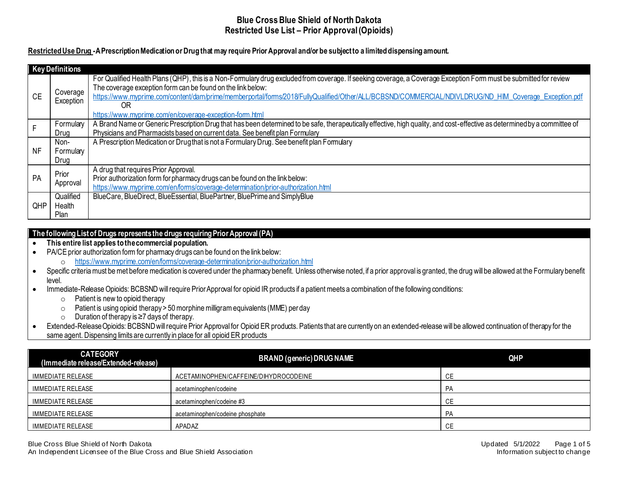# **Restricted Use Drug -A Prescription Medication or Drug that may require Prior Approval and/or be subject to a limited dispensing amount.**

|           | <b>Key Definitions</b>             |                                                                                                                                                                                                                                                                                                                                                                                                                                                            |
|-----------|------------------------------------|------------------------------------------------------------------------------------------------------------------------------------------------------------------------------------------------------------------------------------------------------------------------------------------------------------------------------------------------------------------------------------------------------------------------------------------------------------|
| <b>CE</b> | Coverage<br>Exception              | For Qualified Health Plans (QHP), this is a Non-Formulary drug excluded from coverage. If seeking coverage, a Coverage Exception Form must be submitted for review<br>The coverage exception form can be found on the link below:<br>https://www.myprime.com/content/dam/prime/memberportal/forms/2018/FullyQualified/Other/ALL/BCBSND/COMMERCIAL/NDIVLDRUG/ND HIM Coverage Exception.pdf<br>0R<br>https://www.myprime.com/en/coverage-exception-form.html |
| F.        | Formulary<br>Drug                  | A Brand Name or Generic Prescription Drug that has been determined to be safe, therapeutically effective, high quality, and cost-effective as determined by a committee of<br>Physicians and Pharmacists based on current data. See benefit plan Formulary                                                                                                                                                                                                 |
| NF        | Non-<br>Formulary<br>Drug          | A Prescription Medication or Drugthat is not a Formulary Drug. See benefit plan Formulary                                                                                                                                                                                                                                                                                                                                                                  |
| PA        | Prior<br>Approval                  | A drug that requires Prior Approval.<br>Prior authorization form for pharmacy drugs can be found on the link below:<br>https://www.myprime.com/en/forms/coverage-determination/prior-authorization.html                                                                                                                                                                                                                                                    |
| QHP       | Qualified<br>Health<br><b>Plan</b> | BlueCare, BlueDirect, BlueEssential, BluePartner, BluePrime and SimplyBlue                                                                                                                                                                                                                                                                                                                                                                                 |

### **The following List of Drugs represents the drugs requiring Prior Approval (PA)**

- **This entire list applies to the commercial population.**
- PA/CE prior authorization form for pharmacy drugs can be found on the link below:
	- o <https://www.myprime.com/en/forms/coverage-determination/prior-authorization.html>
- Specific criteria must be met before medication is covered under the pharmacy benefit. Unless otherwise noted, if a prior approval is granted, the drug will be allowed at the Formulary benefit level.
- Immediate-Release Opioids: BCBSND will require Prior Approval for opioid IR products if a patient meets a combination of the following conditions:
	- $\circ$  Patient is new to opioid therapy
	- o Patient is using opioid therapy > 50 morphine milligram equivalents (MME) per day
	- o Duration of therapy is ≥7 days of therapy.
- Extended-Release Opioids: BCBSND will require Prior Approval for Opioid ER products. Patients that are currently on an extended-release will be allowed continuation of therapy for the same agent. Dispensing limits are currently in place for all opioid ER products

| <b>CATEGORY</b><br>(Immediate release/Extended-release) | <b>BRAND (generic) DRUG NAME</b>      | QHP       |
|---------------------------------------------------------|---------------------------------------|-----------|
| IMMEDIATE RELEASE                                       | ACETAMINOPHEN/CAFFEINE/DIHYDROCODEINE | СE        |
| IMMEDIATE RELEASE                                       | acetaminophen/codeine                 | PA        |
| IMMEDIATE RELEASE                                       | acetaminophen/codeine #3              | СE        |
| IMMEDIATE RELEASE                                       | acetaminophen/codeine phosphate       | <b>PA</b> |
| IMMEDIATE RELEASE                                       | APADAZ                                | СE        |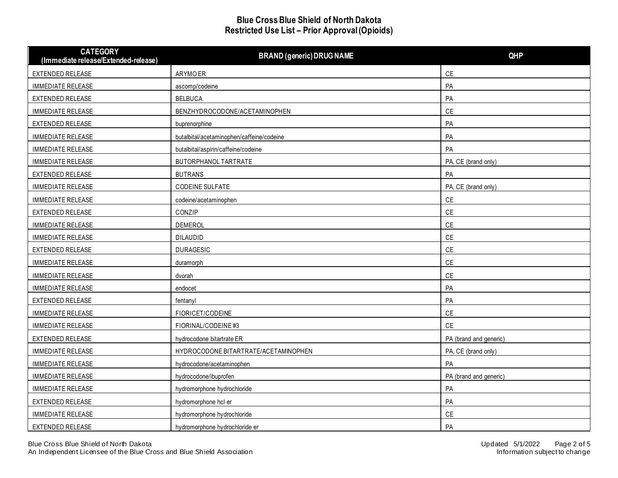| <b>CATEGORY</b><br>(Immediate release/Extended-release) | <b>BRAND (generic) DRUG NAME</b>          | <b>QHP</b>             |
|---------------------------------------------------------|-------------------------------------------|------------------------|
| EXTENDED RELEASE                                        | ARYMO ER                                  | $\mathsf{CE}$          |
| IMMEDIATE RELEASE                                       | ascomp/codeine                            | PA                     |
| EXTENDED RELEASE                                        | <b>BELBUCA</b>                            | PA                     |
| <b>IMMEDIATE RELEASE</b>                                | BENZHYDROCODONE/ACETAMINOPHEN             | CE                     |
| EXTENDED RELEASE                                        | buprenorphine                             | PA                     |
| <b>IMMEDIATE RELEASE</b>                                | butalbital/acetaminophen/caffeine/codeine | PA                     |
| IMMEDIATE RELEASE                                       | butalbital/aspirin/caffeine/codeine       | PA                     |
| IMMEDIATE RELEASE                                       | BUTORPHANOL TARTRATE                      | PA, CE (brand only)    |
| EXTENDED RELEASE                                        | <b>BUTRANS</b>                            | PA                     |
| <b>IMMEDIATE RELEASE</b>                                | <b>CODEINE SULFATE</b>                    | PA, CE (brand only)    |
| <b>IMMEDIATE RELEASE</b>                                | codeine/acetaminophen                     | $\mathsf{CE}$          |
| EXTENDED RELEASE                                        | CONZIP                                    | <b>CE</b>              |
| <b>IMMEDIATE RELEASE</b>                                | <b>DEMEROL</b>                            | CE                     |
| IMMEDIATE RELEASE                                       | <b>DILAUDID</b>                           | CE                     |
| EXTENDED RELEASE                                        | <b>DURAGESIC</b>                          | CE                     |
| IMMEDIATE RELEASE                                       | duramorph                                 | CE                     |
| <b>IMMEDIATE RELEASE</b>                                | dvorah                                    | <b>CE</b>              |
| IMMEDIATE RELEASE                                       | endocet                                   | PA                     |
| EXTENDED RELEASE                                        | fentanyl                                  | PA                     |
| IMMEDIATE RELEASE                                       | FIORICET/CODEINE                          | CE                     |
| IMMEDIATE RELEASE                                       | FIORINAL/CODEINE#3                        | <b>CE</b>              |
| EXTENDED RELEASE                                        | hydrocodone bitartrate ER                 | PA (brand and generic) |
| <b>IMMEDIATE RELEASE</b>                                | HYDROCODONE BITARTRATE/ACETAMINOPHEN      | PA, CE (brand only)    |
| IMMEDIATE RELEASE                                       | hydrocodone/acetaminophen                 | PA                     |
| IMMEDIATE RELEASE                                       | hydrocodone/ibuprofen                     | PA (brand and generic) |
| IMMEDIATE RELEASE                                       | hydromorphone hydrochloride               | PA                     |
| EXTENDED RELEASE                                        | hydromorphone hcl er                      | PA                     |
| IMMEDIATE RELEASE                                       | hydromorphone hydrochloride               | CE                     |
| EXTENDED RELEASE                                        | hydromorphone hydrochloride er            | PA                     |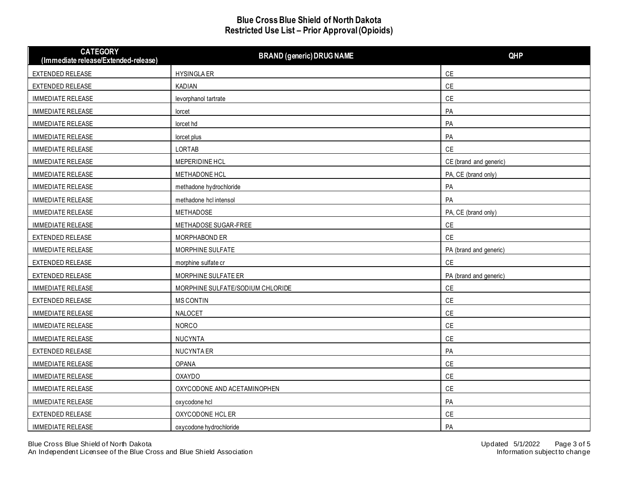| <b>CATEGORY</b><br>(Immediate release/Extended-release) | <b>BRAND (generic) DRUG NAME</b> | <b>QHP</b>             |
|---------------------------------------------------------|----------------------------------|------------------------|
| EXTENDED RELEASE                                        | <b>HYSINGLA ER</b>               | CE                     |
| EXTENDED RELEASE                                        | <b>KADIAN</b>                    | $\mathsf{CE}$          |
| <b>IMMEDIATE RELEASE</b>                                | levorphanol tartrate             | <b>CE</b>              |
| <b>IMMEDIATE RELEASE</b>                                | lorcet                           | PA                     |
| <b>IMMEDIATE RELEASE</b>                                | lorcet hd                        | PA                     |
| <b>IMMEDIATE RELEASE</b>                                | lorcet plus                      | PA                     |
| <b>IMMEDIATE RELEASE</b>                                | <b>LORTAB</b>                    | <b>CE</b>              |
| <b>IMMEDIATE RELEASE</b>                                | MEPERIDINE HCL                   | CE (brand and generic) |
| <b>IMMEDIATE RELEASE</b>                                | METHADONE HCL                    | PA, CE (brand only)    |
| <b>IMMEDIATE RELEASE</b>                                | methadone hydrochloride          | PA                     |
| <b>IMMEDIATE RELEASE</b>                                | methadone hcl intensol           | PA                     |
| <b>IMMEDIATE RELEASE</b>                                | METHADOSE                        | PA, CE (brand only)    |
| <b>IMMEDIATE RELEASE</b>                                | METHADOSE SUGAR-FREE             | $\mathsf{CE}$          |
| EXTENDED RELEASE                                        | MORPHABOND ER                    | <b>CE</b>              |
| <b>IMMEDIATE RELEASE</b>                                | MORPHINE SULFATE                 | PA (brand and generic) |
| EXTENDED RELEASE                                        | morphine sulfate cr              | CE                     |
| EXTENDED RELEASE                                        | MORPHINE SULFATE ER              | PA (brand and generic) |
| IMMEDIATE RELEASE                                       | MORPHINE SULFATE/SODIUM CHLORIDE | $\mathsf{CE}$          |
| EXTENDED RELEASE                                        | <b>MS CONTIN</b>                 | CE                     |
| <b>IMMEDIATE RELEASE</b>                                | NALOCET                          | $\mathsf{CE}$          |
| IMMEDIATE RELEASE                                       | <b>NORCO</b>                     | CE                     |
| <b>IMMEDIATE RELEASE</b>                                | <b>NUCYNTA</b>                   | $\mathsf{CE}$          |
| EXTENDED RELEASE                                        | NUCYNTA ER                       | PA                     |
| IMMEDIATE RELEASE                                       | <b>OPANA</b>                     | CE                     |
| IMMEDIATE RELEASE                                       | <b>OXAYDO</b>                    | CE                     |
| IMMEDIATE RELEASE                                       | OXYCODONE AND ACETAMINOPHEN      | CE                     |
| <b>IMMEDIATE RELEASE</b>                                | oxycodone hcl                    | PA                     |
| EXTENDED RELEASE                                        | OXYCODONE HCL ER                 | CE                     |
| <b>IMMEDIATE RELEASE</b>                                | oxycodone hydrochloride          | PA                     |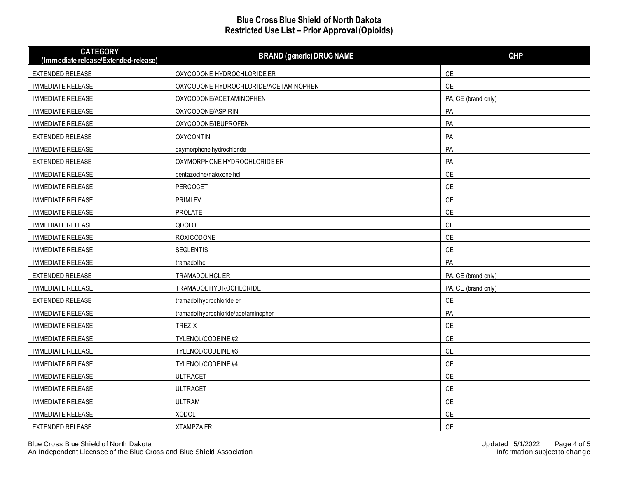| <b>CATEGORY</b><br>(Immediate release/Extended-release) | <b>BRAND (generic) DRUG NAME</b>      | QHP                 |
|---------------------------------------------------------|---------------------------------------|---------------------|
| EXTENDED RELEASE                                        | OXYCODONE HYDROCHLORIDE ER            | CE                  |
| <b>IMMEDIATE RELEASE</b>                                | OXYCODONE HYDROCHLORIDE/ACETAMINOPHEN | CE                  |
| <b>IMMEDIATE RELEASE</b>                                | OXYCODONE/ACETAMINOPHEN               | PA, CE (brand only) |
| <b>IMMEDIATE RELEASE</b>                                | OXYCODONE/ASPIRIN                     | PA                  |
| <b>IMMEDIATE RELEASE</b>                                | OXYCODONE/IBUPROFEN                   | PA                  |
| EXTENDED RELEASE                                        | <b>OXYCONTIN</b>                      | PA                  |
| <b>IMMEDIATE RELEASE</b>                                | oxymorphone hydrochloride             | PA                  |
| EXTENDED RELEASE                                        | OXYMORPHONE HYDROCHLORIDE ER          | PA                  |
| IMMEDIATE RELEASE                                       | pentazocine/naloxone hcl              | $\mathsf{CE}$       |
| IMMEDIATE RELEASE                                       | PERCOCET                              | $\mathsf{CE}$       |
| IMMEDIATE RELEASE                                       | PRIMLEV                               | CE                  |
| IMMEDIATE RELEASE                                       | PROLATE                               | $\mathsf{CE}$       |
| <b>IMMEDIATE RELEASE</b>                                | QDOLO                                 | $\mathsf{CE}$       |
| <b>IMMEDIATE RELEASE</b>                                | ROXICODONE                            | $\mathsf{CE}$       |
| IMMEDIATE RELEASE                                       | <b>SEGLENTIS</b>                      | CE                  |
| <b>IMMEDIATE RELEASE</b>                                | tramadol hcl                          | PA                  |
| EXTENDED RELEASE                                        | TRAMADOL HCL ER                       | PA, CE (brand only) |
| <b>IMMEDIATE RELEASE</b>                                | TRAMADOL HYDROCHLORIDE                | PA, CE (brand only) |
| EXTENDED RELEASE                                        | tramadol hydrochloride er             | $\mathsf{CE}$       |
| <b>IMMEDIATE RELEASE</b>                                | tramadol hydrochloride/acetaminophen  | PA                  |
| <b>IMMEDIATE RELEASE</b>                                | <b>TREZIX</b>                         | CE                  |
| <b>IMMEDIATE RELEASE</b>                                | TYLENOL/CODEINE#2                     | $\mathsf{CE}$       |
| <b>IMMEDIATE RELEASE</b>                                | TYLENOL/CODEINE#3                     | $\mathsf{CE}$       |
| <b>IMMEDIATE RELEASE</b>                                | TYLENOL/CODEINE#4                     | $\mathsf{CE}$       |
| <b>IMMEDIATE RELEASE</b>                                | <b>ULTRACET</b>                       | CE                  |
| <b>IMMEDIATE RELEASE</b>                                | <b>ULTRACET</b>                       | CE                  |
| <b>IMMEDIATE RELEASE</b>                                | <b>ULTRAM</b>                         | $\mathsf{CE}$       |
| <b>IMMEDIATE RELEASE</b>                                | <b>XODOL</b>                          | CE                  |
| EXTENDED RELEASE                                        | <b>XTAMPZA ER</b>                     | CE                  |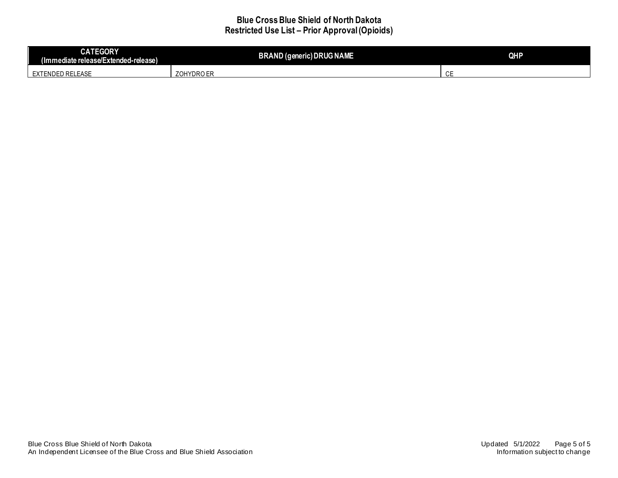| <b>CATEGORY</b><br>$\mathbf{r}$<br>(Immediate release/Extended-release) | <b>BRAND (generic) DRUG NAME</b> | <b>QHP</b>          |
|-------------------------------------------------------------------------|----------------------------------|---------------------|
| ED RELEASE<br>_NDF'<br>$\overline{\phantom{a}}$                         | HYDRO ER<br>701<br>∠∪⊧           | $\sim$ $\sim$<br>◡└ |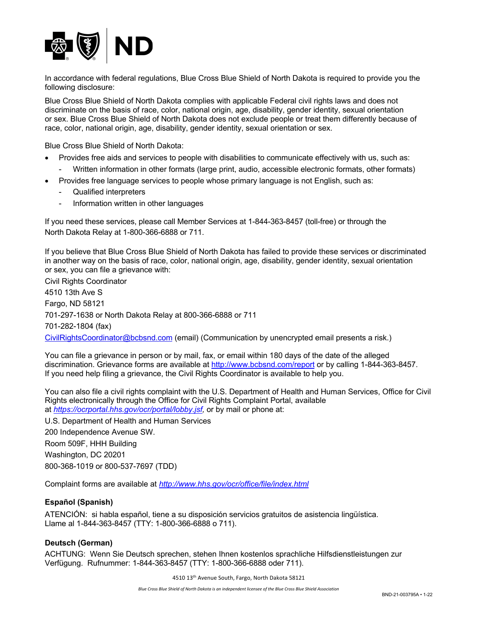

 In accordance with federal regulations, Blue Cross Blue Shield of North Dakota is required to provide you the following disclosure:

 Blue Cross Blue Shield of North Dakota complies with applicable Federal civil rights laws and does not discriminate on the basis of race, color, national origin, age, disability, gender identity, sexual orientation or sex. Blue Cross Blue Shield of North Dakota does not exclude people or treat them differently because of race, color, national origin, age, disability, gender identity, sexual orientation or sex.

Blue Cross Blue Shield of North Dakota:

- • Provides free aids and services to people with disabilities to communicate effectively with us, such as:
	- Written information in other formats (large print, audio, accessible electronic formats, other formats)
- • Provides free language services to people whose primary language is not English, such as:
	- Qualified interpreters
	- Information written in other languages

 If you need these services, please call Member Services at 1-844-363-8457 (toll-free) or through the North Dakota Relay at 1-800-366-6888 or 711.

 If you believe that Blue Cross Blue Shield of North Dakota has failed to provide these services or discriminated in another way on the basis of race, color, national origin, age, disability, gender identity, sexual orientation or sex, you can file a grievance with:

 Civil Rights Coordinator Fargo, ND 58121 [CivilRightsCoordinator@bcbsnd.com](mailto:CivilRightsCoordinator@bcbsnd.com) (email) (Communication by unencrypted email presents a risk.) 4510 13th Ave S 701-297-1638 or North Dakota Relay at 800-366-6888 or 711 701-282-1804 (fax)

 You can file a grievance in person or by mail, fax, or email within 180 days of the date of the alleged discrimination. Grievance forms are available at <http://www.bcbsnd.com/report> or by calling 1-844-363-8457. If you need help filing a grievance, the Civil Rights Coordinator is available to help you.

 You can also file a civil rights complaint with the U.S. Department of Health and Human Services, Office for Civil Rights electronically through the Office for Civil Rights Complaint Portal, available at *<https://ocrportal.hhs.gov/ocr/portal/lobby.jsf>,* or by mail or phone at:

 U.S. Department of Health and Human Services Room 509F, HHH Building Washington, DC 20201 800-368-1019 or 800-537-7697 (TDD) 200 Independence Avenue SW.

Complaint forms are available at *<http://www.hhs.gov/ocr/office/file/index.html>* 

# **Español (Spanish)**

 ATENCIÓN: si habla español, tiene a su disposición servicios gratuitos de asistencia lingüística. Llame al 1-844-363-8457 (TTY: 1-800-366-6888 o 711).

#### **Deutsch (German)**

 ACHTUNG: Wenn Sie Deutsch sprechen, stehen Ihnen kostenlos sprachliche Hilfsdienstleistungen zur Verfügung. Rufnummer: 1-844-363-8457 (TTY: 1-800-366-6888 oder 711).

4510 13<sup>th</sup> Avenue South, Fargo, North Dakota 58121